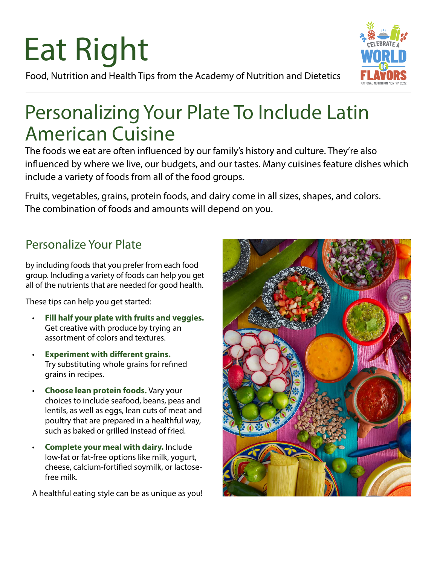# Eat Right



Food, Nutrition and Health Tips from the Academy of Nutrition and Dietetics

## Personalizing Your Plate To Include Latin American Cuisine

The foods we eat are often influenced by our family's history and culture. They're also influenced by where we live, our budgets, and our tastes. Many cuisines feature dishes which include a variety of foods from all of the food groups.

Fruits, vegetables, grains, protein foods, and dairy come in all sizes, shapes, and colors. The combination of foods and amounts will depend on you.

### Personalize Your Plate

by including foods that you prefer from each food group. Including a variety of foods can help you get all of the nutrients that are needed for good health.

These tips can help you get started:

- **Fill half your plate with fruits and veggies.** Get creative with produce by trying an assortment of colors and textures.
- **Experiment with different grains.** Try substituting whole grains for refined grains in recipes.
- **Choose lean protein foods.** Vary your choices to include seafood, beans, peas and lentils, as well as eggs, lean cuts of meat and poultry that are prepared in a healthful way, such as baked or grilled instead of fried.
- **Complete your meal with dairy.** Include low-fat or fat-free options like milk, yogurt, cheese, calcium-fortified soymilk, or lactosefree milk.

A healthful eating style can be as unique as you!